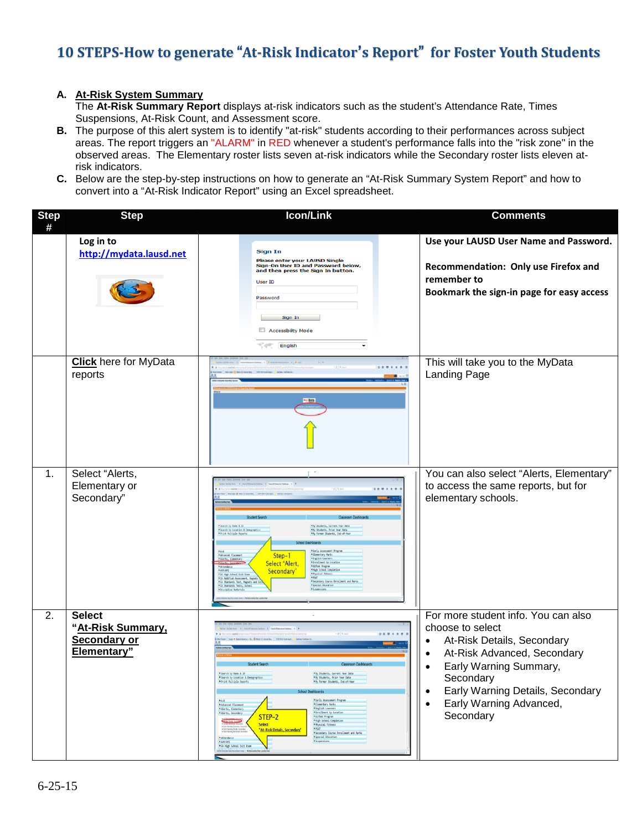## **10 STEPS-How to generate** "**At-Risk Indicator**'**s Report**" **for Foster Youth Students**

## **A. At-Risk System Summary**

The **At-Risk Summary Report** displays at-risk indicators such as the student's Attendance Rate, Times Suspensions, At-Risk Count, and Assessment score.

- **B.** The purpose of this alert system is to identify "at-risk" students according to their performances across subject areas. The report triggers an "ALARM" in RED whenever a student's performance falls into the "risk zone" in the observed areas. The Elementary roster lists seven at-risk indicators while the Secondary roster lists eleven atrisk indicators.
- **C.** Below are the step-by-step instructions on how to generate an "At-Risk Summary System Report" and how to convert into a "At-Risk Indicator Report" using an Excel spreadsheet.

| <b>Step</b><br># | <b>Step</b>                                                       | Icon/Link                                                                                                                                                                                                                                                                                                                                                                                                                                                                                                                                                                                                                                                                                                                                                      | <b>Comments</b>                                                                                                                                                                                                                                           |
|------------------|-------------------------------------------------------------------|----------------------------------------------------------------------------------------------------------------------------------------------------------------------------------------------------------------------------------------------------------------------------------------------------------------------------------------------------------------------------------------------------------------------------------------------------------------------------------------------------------------------------------------------------------------------------------------------------------------------------------------------------------------------------------------------------------------------------------------------------------------|-----------------------------------------------------------------------------------------------------------------------------------------------------------------------------------------------------------------------------------------------------------|
|                  | Log in to<br>http://mydata.lausd.net                              | <b>Sign In</b><br>Please enter your LAUSD Single<br>Sign-On User ID and Password below,<br>and then press the Sign In button.<br><b>User ID</b><br>Password<br>Sign In<br>Accessibility Mode<br>English                                                                                                                                                                                                                                                                                                                                                                                                                                                                                                                                                        | Use your LAUSD User Name and Password.<br>Recommendation: Only use Firefox and<br>remember to<br>Bookmark the sign-in page for easy access                                                                                                                |
|                  | <b>Click</b> here for MyData<br>reports                           | Ay Bata                                                                                                                                                                                                                                                                                                                                                                                                                                                                                                                                                                                                                                                                                                                                                        | This will take you to the MyData<br>Landing Page                                                                                                                                                                                                          |
| 1.               | Select "Alerts,<br>Elementary or<br>Secondary"                    | FSearch by New & ID<br>Students, Current Year Dat<br>Search by Location & Demograph<br><b>Marly Assessment Prog</b><br>* Elementary Parks<br>Step-1<br>* English Learner<br>Select "Alert,<br>Pinrollment by Location<br>PGLFted Program<br>PHLeh School Completion<br>Physical Fitness<br>PHAT<br>Secondary'<br>* CA High School Exit Exm<br>* Secondary Course Enrollment and Marks<br>* Special Educatio<br>*CA Standards Tests."                                                                                                                                                                                                                                                                                                                           | You can also select "Alerts, Elementary"<br>to access the same reports, but for<br>elementary schools.                                                                                                                                                    |
| 2.               | <b>Select</b><br>"At-Risk Summary,<br>Secondary or<br>Elementary" | <b>Student Sea</b><br>Fleerch by New & 10<br><b>&gt;Hy Students, Current Year Data</b><br>arch by Location<br>Prior Year Data<br>PPrint Multiple Reports<br><b>My Former Students, End-of-Year</b><br><b>School Dashboards</b><br>Finaly Assessment Program<br>$AA-6$<br><b><i><u>Advanced Placement</u></i></b><br><b>Filmentary Harks</b><br><b>PAlerts, Elementary</b><br><b>*</b> English Learners<br>* Enrollment by Location<br><b>*Alerta, Secondary</b><br>STEP-2<br>Póifted Program<br><b>PHigh School Completion</b><br><b>Select</b><br>Physical Fitness<br><b>PPSAT</b><br>"At-Risk Details, Secondary"<br>PSecondary Course Enrollment and Marks<br>PSpecial Education<br>* Attendance<br>* AYP/AP1<br>· Suspensions<br>"CA High School Exit Exam | For more student info. You can also<br>choose to select<br>At-Risk Details, Secondary<br>$\bullet$<br>At-Risk Advanced, Secondary<br>Early Warning Summary,<br>Secondary<br>Early Warning Details, Secondary<br>٠<br>Early Warning Advanced,<br>Secondary |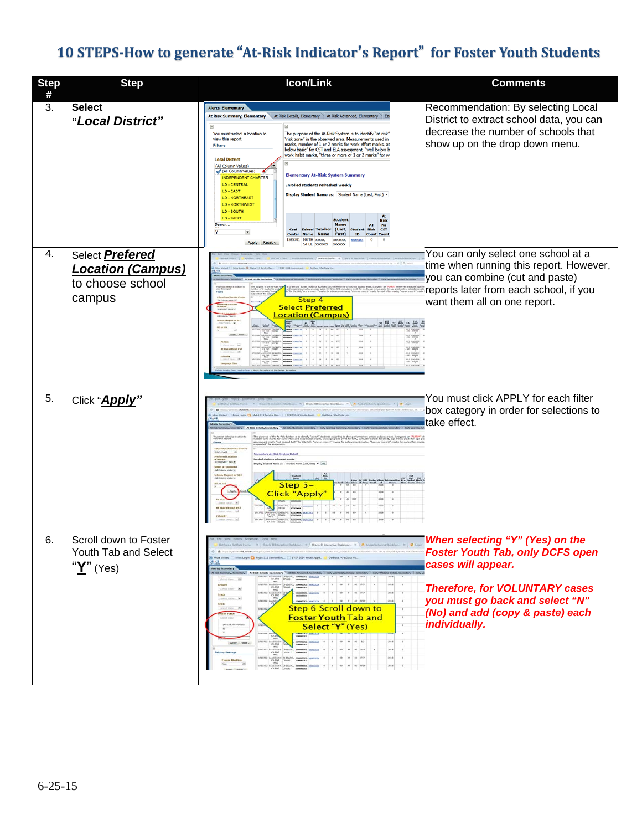## **10 STEPS-How to generate** "**At-Risk Indicator**'**s Report**" **for Foster Youth Students**

| <b>Step</b><br># | <b>Step</b>                                                                      | Icon/Link                                                                                                                                                                                                                                                                                                                                                                                                                                                                                                                                                                                                                                                                                                                                                                                                                                                                                                                                                                                                                                                                     | <b>Comments</b>                                                                                                                                                                                                                   |
|------------------|----------------------------------------------------------------------------------|-------------------------------------------------------------------------------------------------------------------------------------------------------------------------------------------------------------------------------------------------------------------------------------------------------------------------------------------------------------------------------------------------------------------------------------------------------------------------------------------------------------------------------------------------------------------------------------------------------------------------------------------------------------------------------------------------------------------------------------------------------------------------------------------------------------------------------------------------------------------------------------------------------------------------------------------------------------------------------------------------------------------------------------------------------------------------------|-----------------------------------------------------------------------------------------------------------------------------------------------------------------------------------------------------------------------------------|
| 3.               | <b>Select</b><br>"Local District"                                                | <b>Alerts, Elementary</b><br>At Risk Summary, Elementary<br>At Risk Details, Elementary   At Risk Advanced, Elementa<br>You must select a location to<br>The purpose of the At-Risk System is to identify "at risk"<br>"risk zone" in the observed area. Measurements used in<br>view this report.<br>marks, number of 1 or 2 marks for work effort marks, at<br>Filters<br>below basic" for CST and ELA assessment, "well below b<br>work habit marks, "three or more of 1 or 2 marks" for w<br><b>Local District</b><br>(All Column Values)<br>(All Column Values)<br><b>Elementary At-Risk System Summary</b><br><b>NDEPENDENT CHARTER</b><br>LD - CENTRAL<br><b>Enrolled students refreshed weekly</b><br>LD - EAST<br>Display Student Name as: Student Name (Last, First) -<br><b>LD - NORTHEAST</b><br><b>LD-NORTHWEST</b><br>LD - SOUTH<br>LD - WEST<br>Studen<br>Search.<br>Name<br>Cost<br><b>School Teacher</b><br>(Last,<br><b>CST</b><br>×<br><b>Center Name Name</b><br>First)<br>ID<br>Cour<br>1585701 107TH xxxxx,<br>1000000<br>Apply Reset ~<br>ST EL XXXXXX | Recommendation: By selecting Local<br>District to extract school data, you can<br>decrease the number of schools that<br>show up on the drop down menu.                                                                           |
| 4.               | Select <b>Prefered</b><br><b>Location (Campus)</b><br>to choose school<br>campus | Step 4<br><b>Select Preferred</b><br><b>Location (Campus)</b><br>$\frac{\partial \mathcal{L}}{\partial \mathbf{m}} = \frac{\partial \mathcal{L}}{\partial \mathbf{m}}$                                                                                                                                                                                                                                                                                                                                                                                                                                                                                                                                                                                                                                                                                                                                                                                                                                                                                                        | You can only select one school at a<br>time when running this report. However,<br>you can combine (cut and paste)<br>reports later from each school, if you<br>want them all on one report.                                       |
| 5.               | Click "Apply"                                                                    | ey Al-Hick System Defail<br><b>ISEVELY SHICK</b><br>Step $5-$<br><b>Click "Apply</b>                                                                                                                                                                                                                                                                                                                                                                                                                                                                                                                                                                                                                                                                                                                                                                                                                                                                                                                                                                                          | You must click APPLY for each filter<br>box category in order for selections to<br>take effect.                                                                                                                                   |
| 6.               | Scroll down to Foster<br>Youth Tab and Select<br>" <u>Y</u> " (Yes)              | <b>Step 6 Scroll down to</b><br><b>Foster Youth Tab and</b><br>Select "Y" (Yes)<br>Apply Reset                                                                                                                                                                                                                                                                                                                                                                                                                                                                                                                                                                                                                                                                                                                                                                                                                                                                                                                                                                                | When selecting "Y" (Yes) on the<br><b>Foster Youth Tab, only DCFS open</b><br>cases will appear.<br><b>Therefore, for VOLUNTARY cases</b><br>you must go back and select "N"<br>(No) and add (copy & paste) each<br>individually. |